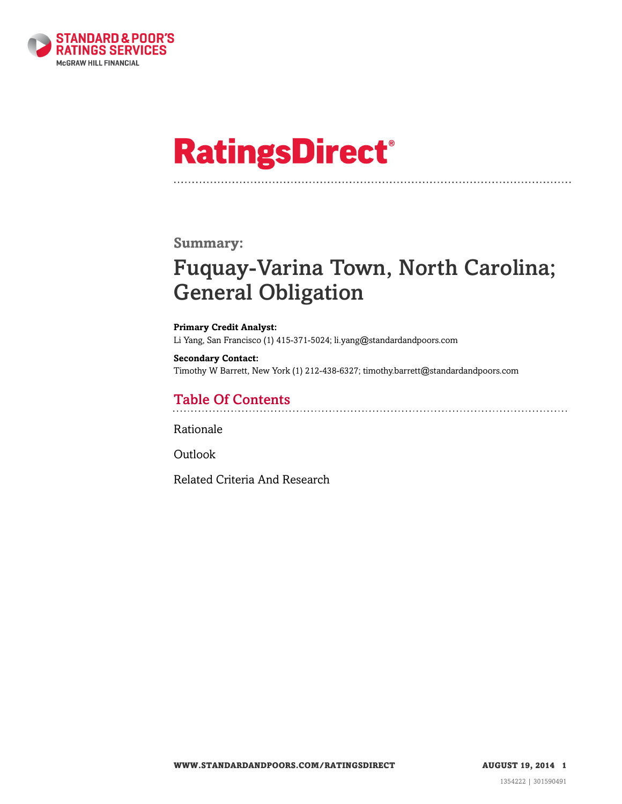

# **RatingsDirect®**

### **Summary:**

# Fuquay-Varina Town, North Carolina; General Obligation

#### **Primary Credit Analyst:** Li Yang, San Francisco (1) 415-371-5024; li.yang@standardandpoors.com

**Secondary Contact:** Timothy W Barrett, New York (1) 212-438-6327; timothy.barrett@standardandpoors.com

### Table Of Contents

[Rationale](#page-1-0)

[Outlook](#page-2-0)

[Related Criteria And Research](#page-2-1)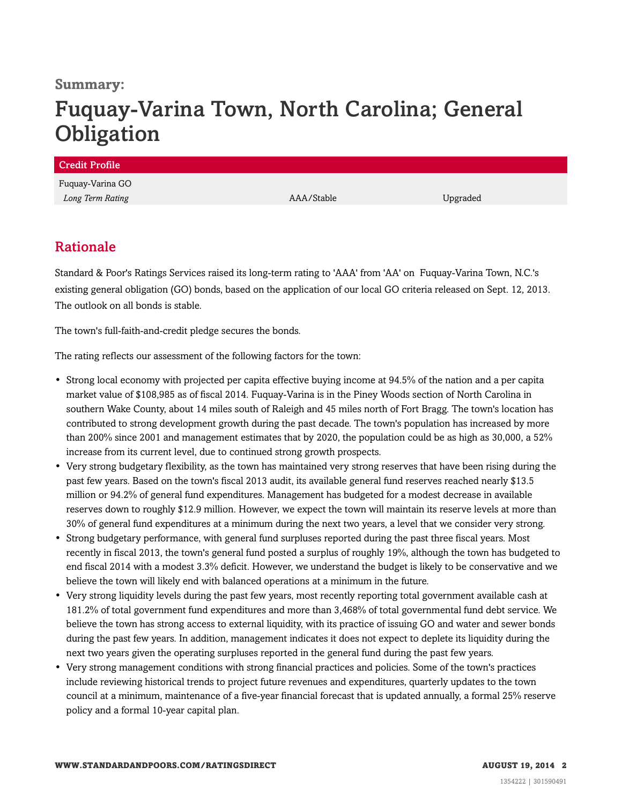### **Summary:**

# Fuquay-Varina Town, North Carolina; General **Obligation**

| <b>Credit Profile</b> |            |          |
|-----------------------|------------|----------|
| Fuquay-Varina GO      |            |          |
| Long Term Rating      | AAA/Stable | Upgraded |
|                       |            |          |

### <span id="page-1-0"></span>Rationale

Standard & Poor's Ratings Services raised its long-term rating to 'AAA' from 'AA' on Fuquay-Varina Town, N.C.'s existing general obligation (GO) bonds, based on the application of our local GO criteria released on Sept. 12, 2013. The outlook on all bonds is stable.

The town's full-faith-and-credit pledge secures the bonds.

The rating reflects our assessment of the following factors for the town:

- Strong local economy with projected per capita effective buying income at 94.5% of the nation and a per capita market value of \$108,985 as of fiscal 2014. Fuquay-Varina is in the Piney Woods section of North Carolina in southern Wake County, about 14 miles south of Raleigh and 45 miles north of Fort Bragg. The town's location has contributed to strong development growth during the past decade. The town's population has increased by more than 200% since 2001 and management estimates that by 2020, the population could be as high as 30,000, a 52% increase from its current level, due to continued strong growth prospects.
- Very strong budgetary flexibility, as the town has maintained very strong reserves that have been rising during the past few years. Based on the town's fiscal 2013 audit, its available general fund reserves reached nearly \$13.5 million or 94.2% of general fund expenditures. Management has budgeted for a modest decrease in available reserves down to roughly \$12.9 million. However, we expect the town will maintain its reserve levels at more than 30% of general fund expenditures at a minimum during the next two years, a level that we consider very strong.
- Strong budgetary performance, with general fund surpluses reported during the past three fiscal years. Most recently in fiscal 2013, the town's general fund posted a surplus of roughly 19%, although the town has budgeted to end fiscal 2014 with a modest 3.3% deficit. However, we understand the budget is likely to be conservative and we believe the town will likely end with balanced operations at a minimum in the future.
- Very strong liquidity levels during the past few years, most recently reporting total government available cash at 181.2% of total government fund expenditures and more than 3,468% of total governmental fund debt service. We believe the town has strong access to external liquidity, with its practice of issuing GO and water and sewer bonds during the past few years. In addition, management indicates it does not expect to deplete its liquidity during the next two years given the operating surpluses reported in the general fund during the past few years.
- Very strong management conditions with strong financial practices and policies. Some of the town's practices include reviewing historical trends to project future revenues and expenditures, quarterly updates to the town council at a minimum, maintenance of a five-year financial forecast that is updated annually, a formal 25% reserve policy and a formal 10-year capital plan.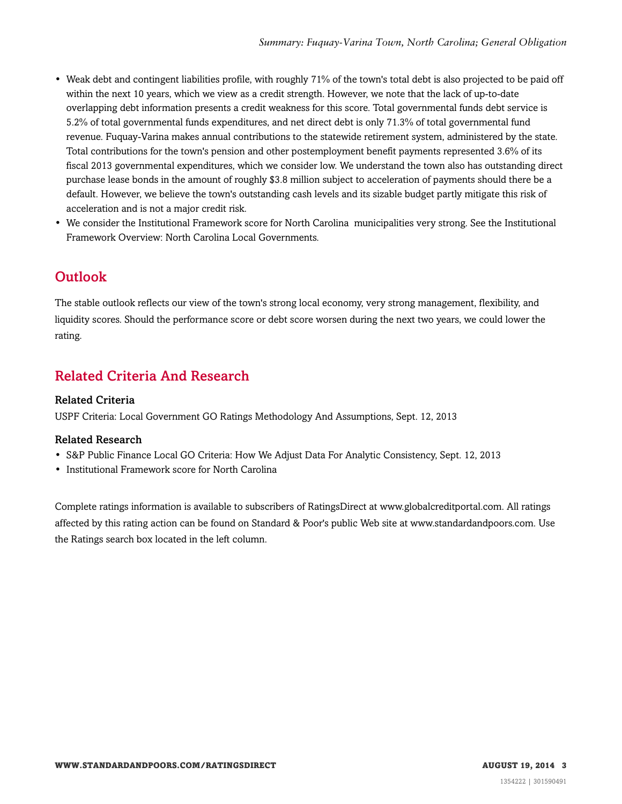- Weak debt and contingent liabilities profile, with roughly 71% of the town's total debt is also projected to be paid off within the next 10 years, which we view as a credit strength. However, we note that the lack of up-to-date overlapping debt information presents a credit weakness for this score. Total governmental funds debt service is 5.2% of total governmental funds expenditures, and net direct debt is only 71.3% of total governmental fund revenue. Fuquay-Varina makes annual contributions to the statewide retirement system, administered by the state. Total contributions for the town's pension and other postemployment benefit payments represented 3.6% of its fiscal 2013 governmental expenditures, which we consider low. We understand the town also has outstanding direct purchase lease bonds in the amount of roughly \$3.8 million subject to acceleration of payments should there be a default. However, we believe the town's outstanding cash levels and its sizable budget partly mitigate this risk of acceleration and is not a major credit risk.
- We consider the Institutional Framework score for North Carolina municipalities very strong. See the Institutional Framework Overview: North Carolina Local Governments.

### <span id="page-2-0"></span>**Outlook**

The stable outlook reflects our view of the town's strong local economy, very strong management, flexibility, and liquidity scores. Should the performance score or debt score worsen during the next two years, we could lower the rating.

## <span id="page-2-1"></span>Related Criteria And Research

### Related Criteria

USPF Criteria: Local Government GO Ratings Methodology And Assumptions, Sept. 12, 2013

#### Related Research

- S&P Public Finance Local GO Criteria: How We Adjust Data For Analytic Consistency, Sept. 12, 2013
- Institutional Framework score for North Carolina

Complete ratings information is available to subscribers of RatingsDirect at www.globalcreditportal.com. All ratings affected by this rating action can be found on Standard & Poor's public Web site at www.standardandpoors.com. Use the Ratings search box located in the left column.